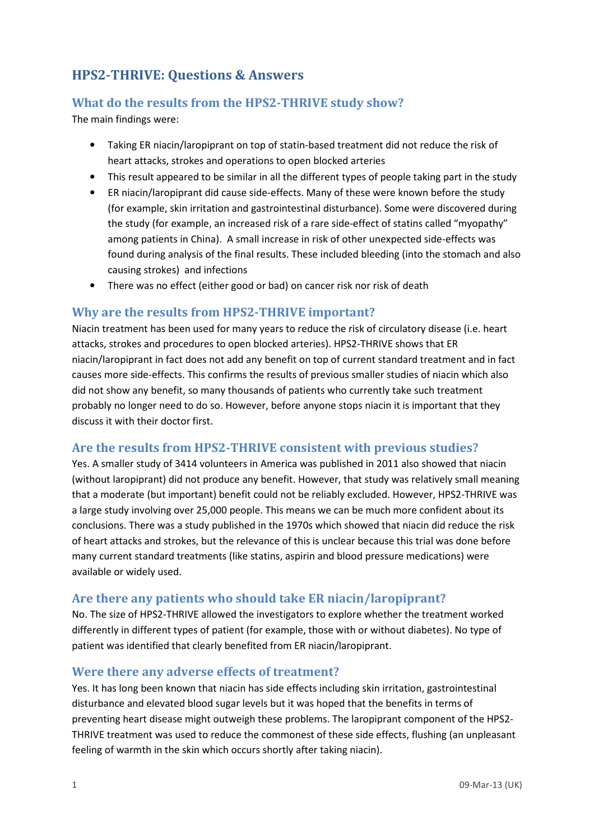# HPS2-THRIVE: Questions & Answers

## What do the results from the HPS2-THRIVE study show?

The main findings were:

- Taking ER niacin/laropiprant on top of statin-based treatment did not reduce the risk of heart attacks, strokes and operations to open blocked arteries
- This result appeared to be similar in all the different types of people taking part in the study
- ER niacin/laropiprant did cause side-effects. Many of these were known before the study (for example, skin irritation and gastrointestinal disturbance). Some were discovered during the study (for example, an increased risk of a rare side-effect of statins called "myopathy" among patients in China). A small increase in risk of other unexpected side-effects was found during analysis of the final results. These included bleeding (into the stomach and also causing strokes) and infections
- There was no effect (either good or bad) on cancer risk nor risk of death

#### Why are the results from HPS2-THRIVE important?

Niacin treatment has been used for many years to reduce the risk of circulatory disease (i.e. heart attacks, strokes and procedures to open blocked arteries). HPS2-THRIVE shows that ER niacin/laropiprant in fact does not add any benefit on top of current standard treatment and in fact causes more side-effects. This confirms the results of previous smaller studies of niacin which also did not show any benefit, so many thousands of patients who currently take such treatment probably no longer need to do so. However, before anyone stops niacin it is important that they discuss it with their doctor first.

### Are the results from HPS2-THRIVE consistent with previous studies?

Yes. A smaller study of 3414 volunteers in America was published in 2011 also showed that niacin (without laropiprant) did not produce any benefit. However, that study was relatively small meaning that a moderate (but important) benefit could not be reliably excluded. However, HPS2-THRIVE was a large study involving over 25,000 people. This means we can be much more confident about its conclusions. There was a study published in the 1970s which showed that niacin did reduce the risk of heart attacks and strokes, but the relevance of this is unclear because this trial was done before many current standard treatments (like statins, aspirin and blood pressure medications) were available or widely used.

#### Are there any patients who should take ER niacin/laropiprant?

No. The size of HPS2-THRIVE allowed the investigators to explore whether the treatment worked differently in different types of patient (for example, those with or without diabetes). No type of patient was identified that clearly benefited from ER niacin/laropiprant.

#### Were there any adverse effects of treatment?

Yes. It has long been known that niacin has side effects including skin irritation, gastrointestinal disturbance and elevated blood sugar levels but it was hoped that the benefits in terms of preventing heart disease might outweigh these problems. The laropiprant component of the HPS2- THRIVE treatment was used to reduce the commonest of these side effects, flushing (an unpleasant feeling of warmth in the skin which occurs shortly after taking niacin).